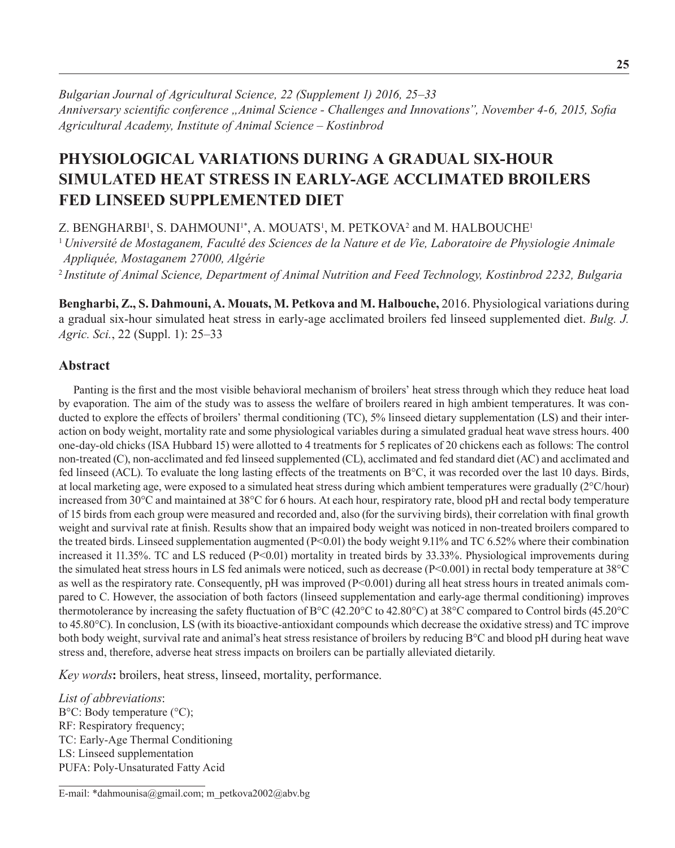*Bulgarian Journal of Agricultural Science, 22 (Supplement 1) 2016, 25–33 Anniversary scientific conference "Animal Science - Challenges and Innovations", November 4-6, 2015, Sofia Agricultural Academy, Institute оf Animal Science – Kostinbrod*

# **Physiological variations during a gradual six-hour simulated heat stress in early-age acclimated broilers fed linseed supplemented diet**

Z. BENGHARBI', S. DAHMOUNI'\*, A. MOUATS', M. PETKOVA<sup>2</sup> and M. HALBOUCHE' <sup>1</sup>*Université de Mostaganem, Faculté des Sciences de la Nature et de Vie, Laboratoire de Physiologie Animale Appliquée, Mostaganem 27000, Algérie*

<sup>2</sup>*Institute of Animal Science, Department of Animal Nutrition and Feed Technology, Kostinbrod 2232, Bulgaria*

**Bengharbi, Z., S. Dahmouni, A. Mouats, M. Petkova and M. Halbouche,** 2016. Physiological variations during a gradual six-hour simulated heat stress in early-age acclimated broilers fed linseed supplemented diet. *Bulg. J. Agric. Sci.*, 22 (Suppl. 1): 25–33

# **Abstract**

Panting is the first and the most visible behavioral mechanism of broilers' heat stress through which they reduce heat load by evaporation. The aim of the study was to assess the welfare of broilers reared in high ambient temperatures. It was conducted to explore the effects of broilers' thermal conditioning (TC), 5% linseed dietary supplementation (LS) and their interaction on body weight, mortality rate and some physiological variables during a simulated gradual heat wave stress hours. 400 one-day-old chicks (ISA Hubbard 15) were allotted to 4 treatments for 5 replicates of 20 chickens each as follows: The control non-treated (C), non-acclimated and fed linseed supplemented (CL), acclimated and fed standard diet (AC) and acclimated and fed linseed (ACL). To evaluate the long lasting effects of the treatments on B°C, it was recorded over the last 10 days. Birds, at local marketing age, were exposed to a simulated heat stress during which ambient temperatures were gradually (2°C/hour) increased from 30°C and maintained at 38°C for 6 hours. At each hour, respiratory rate, blood pH and rectal body temperature of 15 birds from each group were measured and recorded and, also (for the surviving birds), their correlation with final growth weight and survival rate at finish. Results show that an impaired body weight was noticed in non-treated broilers compared to the treated birds. Linseed supplementation augmented  $(P< 0.01)$  the body weight 9.11% and TC 6.52% where their combination increased it 11.35%. TC and LS reduced (P<0.01) mortality in treated birds by 33.33%. Physiological improvements during the simulated heat stress hours in LS fed animals were noticed, such as decrease  $(P< 0.001)$  in rectal body temperature at 38°C as well as the respiratory rate. Consequently, pH was improved (P<0.001) during all heat stress hours in treated animals compared to C. However, the association of both factors (linseed supplementation and early-age thermal conditioning) improves thermotolerance by increasing the safety fluctuation of B°C (42.20°C to 42.80°C) at 38°C compared to Control birds (45.20°C to 45.80°C). In conclusion, LS (with its bioactive-antioxidant compounds which decrease the oxidative stress) and TC improve both body weight, survival rate and animal's heat stress resistance of broilers by reducing B°C and blood pH during heat wave stress and, therefore, adverse heat stress impacts on broilers can be partially alleviated dietarily.

*Key words***:** broilers, heat stress, linseed, mortality, performance.

*List of abbreviations*: B°C: Body temperature (°C); RF: Respiratory frequency; TC: Early-Age Thermal Conditioning LS: Linseed supplementation PUFA: Poly-Unsaturated Fatty Acid

E-mail: \*dahmounisa@gmail.com; m\_petkova2002@abv.bg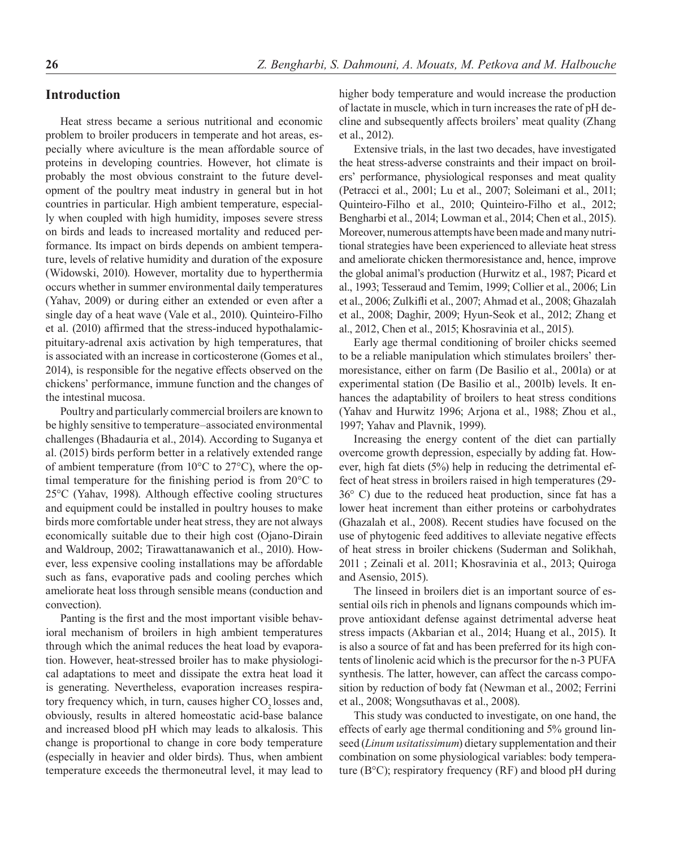# **Introduction**

Heat stress became a serious nutritional and economic problem to broiler producers in temperate and hot areas, especially where aviculture is the mean affordable source of proteins in developing countries. However, hot climate is probably the most obvious constraint to the future development of the poultry meat industry in general but in hot countries in particular. High ambient temperature, especially when coupled with high humidity, imposes severe stress on birds and leads to increased mortality and reduced performance. Its impact on birds depends on ambient temperature, levels of relative humidity and duration of the exposure (Widowski, 2010). However, mortality due to hyperthermia occurs whether in summer environmental daily temperatures (Yahav, 2009) or during either an extended or even after a single day of a heat wave (Vale et al., 2010). Quinteiro-Filho et al. (2010) affirmed that the stress-induced hypothalamicpituitary-adrenal axis activation by high temperatures, that is associated with an increase in corticosterone (Gomes et al., 2014), is responsible for the negative effects observed on the chickens' performance, immune function and the changes of the intestinal mucosa.

Poultry and particularly commercial broilers are known to be highly sensitive to temperature–associated environmental challenges (Bhadauria et al., 2014). According to Suganya et al. (2015) birds perform better in a relatively extended range of ambient temperature (from 10°C to 27°C), where the optimal temperature for the finishing period is from 20°C to 25°C (Yahav, 1998). Although effective cooling structures and equipment could be installed in poultry houses to make birds more comfortable under heat stress, they are not always economically suitable due to their high cost (Ojano-Dirain and Waldroup, 2002; Tirawattanawanich et al., 2010). However, less expensive cooling installations may be affordable such as fans, evaporative pads and cooling perches which ameliorate heat loss through sensible means (conduction and convection).

Panting is the first and the most important visible behavioral mechanism of broilers in high ambient temperatures through which the animal reduces the heat load by evaporation. However, heat-stressed broiler has to make physiological adaptations to meet and dissipate the extra heat load it is generating. Nevertheless, evaporation increases respiratory frequency which, in turn, causes higher CO<sub>2</sub> losses and, obviously, results in altered homeostatic acid-base balance and increased blood pH which may leads to alkalosis. This change is proportional to change in core body temperature (especially in heavier and older birds). Thus, when ambient temperature exceeds the thermoneutral level, it may lead to higher body temperature and would increase the production of lactate in muscle, which in turn increases the rate of pH decline and subsequently affects broilers' meat quality (Zhang et al., 2012).

Extensive trials, in the last two decades, have investigated the heat stress-adverse constraints and their impact on broilers' performance, physiological responses and meat quality (Petracci et al., 2001; Lu et al., 2007; Soleimani et al., 2011; Quinteiro-Filho et al., 2010; Quinteiro-Filho et al., 2012; Bengharbi et al., 2014; Lowman et al., 2014; Chen et al., 2015). Moreover, numerous attempts have been made and many nutritional strategies have been experienced to alleviate heat stress and ameliorate chicken thermoresistance and, hence, improve the global animal's production (Hurwitz et al., 1987; Picard et al., 1993; Tesseraud and Temim, 1999; Collier et al., 2006; Lin et al., 2006; Zulkifli et al., 2007; Ahmad et al., 2008; Ghazalah et al., 2008; Daghir, 2009; Hyun-Seok et al., 2012; Zhang et al., 2012, Chen et al., 2015; Khosravinia et al., 2015).

Early age thermal conditioning of broiler chicks seemed to be a reliable manipulation which stimulates broilers' thermoresistance, either on farm (De Basilio et al., 2001a) or at experimental station (De Basilio et al., 2001b) levels. It enhances the adaptability of broilers to heat stress conditions (Yahav and Hurwitz 1996; Arjona et al., 1988; Zhou et al., 1997; Yahav and Plavnik, 1999).

Increasing the energy content of the diet can partially overcome growth depression, especially by adding fat. However, high fat diets (5%) help in reducing the detrimental effect of heat stress in broilers raised in high temperatures (29- 36° C) due to the reduced heat production, since fat has a lower heat increment than either proteins or carbohydrates (Ghazalah et al., 2008). Recent studies have focused on the use of phytogenic feed additives to alleviate negative effects of heat stress in broiler chickens (Suderman and Solikhah, 2011 ; Zeinali et al. 2011; Khosravinia et al., 2013; Quiroga and Asensio, 2015).

The linseed in broilers diet is an important source of essential oils rich in phenols and lignans compounds which improve antioxidant defense against detrimental adverse heat stress impacts (Akbarian et al., 2014; Huang et al., 2015). It is also a source of fat and has been preferred for its high contents of linolenic acid which is the precursor for the n-3 PUFA synthesis. The latter, however, can affect the carcass composition by reduction of body fat (Newman et al., 2002; Ferrini et al., 2008; Wongsuthavas et al., 2008).

This study was conducted to investigate, on one hand, the effects of early age thermal conditioning and 5% ground linseed (*Linum usitatissimum*) dietary supplementation and their combination on some physiological variables: body temperature (B°C); respiratory frequency (RF) and blood pH during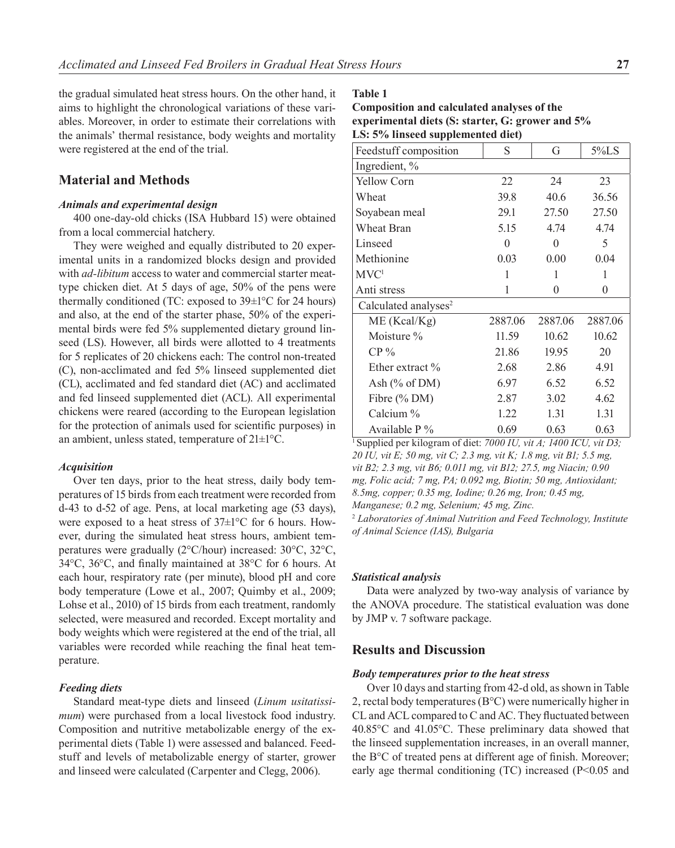the gradual simulated heat stress hours. On the other hand, it aims to highlight the chronological variations of these variables. Moreover, in order to estimate their correlations with the animals' thermal resistance, body weights and mortality were registered at the end of the trial.

# **Material and Methods**

## *Animals and experimental design*

400 one-day-old chicks (ISA Hubbard 15) were obtained from a local commercial hatchery.

They were weighed and equally distributed to 20 experimental units in a randomized blocks design and provided with *ad-libitum* access to water and commercial starter meattype chicken diet. At 5 days of age, 50% of the pens were thermally conditioned (TC: exposed to  $39\pm1^{\circ}$ C for 24 hours) and also, at the end of the starter phase, 50% of the experimental birds were fed 5% supplemented dietary ground linseed (LS). However, all birds were allotted to 4 treatments for 5 replicates of 20 chickens each: The control non-treated (C), non-acclimated and fed 5% linseed supplemented diet (CL), acclimated and fed standard diet (AC) and acclimated and fed linseed supplemented diet (ACL). All experimental chickens were reared (according to the European legislation for the protection of animals used for scientific purposes) in an ambient, unless stated, temperature of 21±1°C.

#### *Acquisition*

Over ten days, prior to the heat stress, daily body temperatures of 15 birds from each treatment were recorded from d-43 to d-52 of age. Pens, at local marketing age (53 days), were exposed to a heat stress of 37±1°C for 6 hours. However, during the simulated heat stress hours, ambient temperatures were gradually (2°C/hour) increased: 30°C, 32°C, 34°C, 36°C, and finally maintained at 38°C for 6 hours. At each hour, respiratory rate (per minute), blood pH and core body temperature (Lowe et al., 2007; Quimby et al., 2009; Lohse et al., 2010) of 15 birds from each treatment, randomly selected, were measured and recorded. Except mortality and body weights which were registered at the end of the trial, all variables were recorded while reaching the final heat temperature.

## *Feeding diets*

Standard meat-type diets and linseed (*Linum usitatissimum*) were purchased from a local livestock food industry. Composition and nutritive metabolizable energy of the experimental diets (Table 1) were assessed and balanced. Feedstuff and levels of metabolizable energy of starter, grower and linseed were calculated (Carpenter and Clegg, 2006).

**Table 1** 

| Composition and calculated analyses of the       |
|--------------------------------------------------|
| experimental diets (S: starter, G: grower and 5% |
| LS: 5% linseed supplemented diet)                |

| Feedstuff composition            | S       | G        | $5\%$ LS |
|----------------------------------|---------|----------|----------|
| Ingredient, %                    |         |          |          |
| <b>Yellow Corn</b>               | 22      | 24       | 23       |
| Wheat                            | 39.8    | 40.6     | 36.56    |
| Soyabean meal                    | 29.1    | 27.50    | 27.50    |
| Wheat Bran                       | 5.15    | 4.74     | 4.74     |
| Linseed                          | 0       | $\Omega$ | 5        |
| Methionine                       | 0.03    | 0.00     | 0.04     |
| MVC <sup>1</sup>                 | 1       | 1        | 1        |
| Anti stress                      | 1       | $\theta$ | $\theta$ |
| Calculated analyses <sup>2</sup> |         |          |          |
| ME (Kcal/Kg)                     | 2887.06 | 2887.06  | 2887.06  |
| Moisture %                       | 11.59   | 10.62    | 10.62    |
| $CP\%$                           | 21.86   | 19.95    | 20       |
| Ether extract %                  | 2.68    | 2.86     | 4.91     |
| Ash $(\%$ of DM)                 | 6.97    | 6.52     | 6.52     |
| Fibre (% DM)                     | 2.87    | 3.02     | 4.62     |
| Calcium %                        | 1.22    | 1.31     | 1.31     |
| Available $P\%$                  | 0.69    | 0.63     | 0.63     |

1 Supplied per kilogram of diet: *7000 IU, vit A; 1400 ICU, vit D3; 20 IU, vit E; 50 mg, vit C; 2.3 mg, vit K; 1.8 mg, vit B1; 5.5 mg, vit B2; 2.3 mg, vit B6; 0.011 mg, vit B12; 27.5, mg Niacin; 0.90 mg, Folic acid; 7 mg, PA; 0.092 mg, Biotin; 50 mg, Antioxidant; 8.5mg, copper; 0.35 mg, Iodine; 0.26 mg, Iron; 0.45 mg, Manganese; 0.2 mg, Selenium; 45 mg, Zinc.*

2  *Laboratories of Animal Nutrition and Feed Technology, Institute of Animal Science (IAS), Bulgaria*

#### *Statistical analysis*

Data were analyzed by two-way analysis of variance by the ANOVA procedure. The statistical evaluation was done by JMP v. 7 software package.

## **Results and Discussion**

#### *Body temperatures prior to the heat stress*

Over 10 days and starting from 42-d old, as shown in Table 2, rectal body temperatures (B°C) were numerically higher in CL and ACL compared to C and AC. They fluctuated between 40.85°C and 41.05°C. These preliminary data showed that the linseed supplementation increases, in an overall manner, the B°C of treated pens at different age of finish. Moreover; early age thermal conditioning (TC) increased (P<0.05 and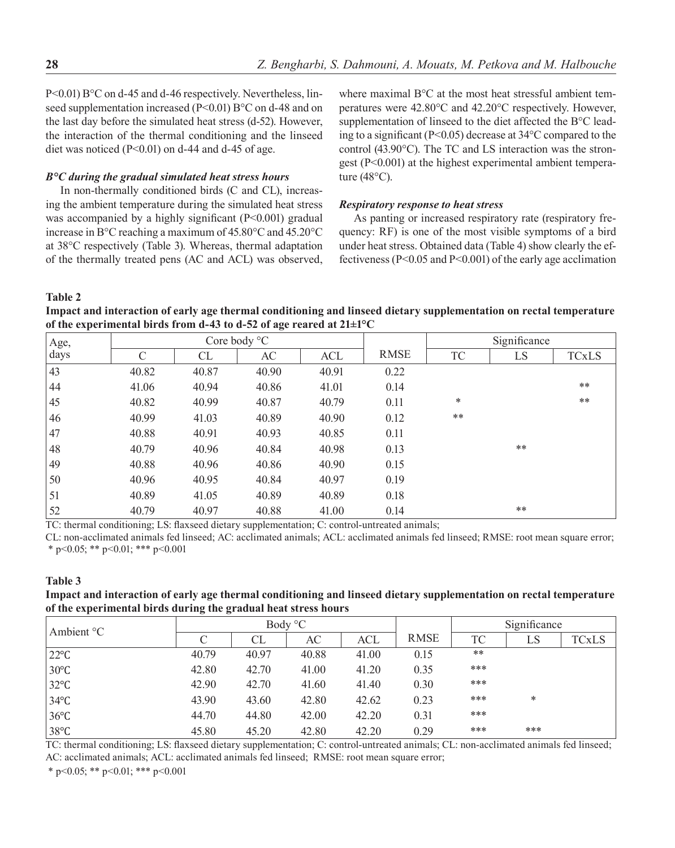P<0.01) B°C on d-45 and d-46 respectively. Nevertheless, linseed supplementation increased (P<0.01) B°C on d-48 and on the last day before the simulated heat stress (d-52). However, the interaction of the thermal conditioning and the linseed diet was noticed  $(P<0.01)$  on d-44 and d-45 of age.

## *B°C during the gradual simulated heat stress hours*

In non-thermally conditioned birds (C and CL), increasing the ambient temperature during the simulated heat stress was accompanied by a highly significant (P<0.001) gradual increase in B°C reaching a maximum of 45.80°C and 45.20°C at 38°C respectively (Table 3). Whereas, thermal adaptation of the thermally treated pens (AC and ACL) was observed, where maximal B°C at the most heat stressful ambient temperatures were 42.80°C and 42.20°C respectively. However, supplementation of linseed to the diet affected the B°C leading to a significant (P<0.05) decrease at 34°C compared to the control (43.90°C). The TC and LS interaction was the strongest (P<0.001) at the highest experimental ambient temperature (48°C).

#### *Respiratory response to heat stress*

As panting or increased respiratory rate (respiratory frequency: RF) is one of the most visible symptoms of a bird under heat stress. Obtained data (Table 4) show clearly the effectiveness (P<0.05 and P<0.001) of the early age acclimation

**Table 2** 

**Impact and interaction of early age thermal conditioning and linseed dietary supplementation on rectal temperature of the experimental birds from d-43 to d-52 of age reared at 21±1°C**

| Age, |       |       | Core body $\mathrm{C}$ |       |             |        | Significance |              |
|------|-------|-------|------------------------|-------|-------------|--------|--------------|--------------|
| days | C     | CL    | AC                     | ACL   | <b>RMSE</b> | TC     | LS           | <b>TCxLS</b> |
| 43   | 40.82 | 40.87 | 40.90                  | 40.91 | 0.22        |        |              |              |
| 44   | 41.06 | 40.94 | 40.86                  | 41.01 | 0.14        |        |              | $**$         |
| 45   | 40.82 | 40.99 | 40.87                  | 40.79 | 0.11        | $\ast$ |              | $***$        |
| 46   | 40.99 | 41.03 | 40.89                  | 40.90 | 0.12        | $***$  |              |              |
| 47   | 40.88 | 40.91 | 40.93                  | 40.85 | 0.11        |        |              |              |
| 48   | 40.79 | 40.96 | 40.84                  | 40.98 | 0.13        |        | $***$        |              |
| 49   | 40.88 | 40.96 | 40.86                  | 40.90 | 0.15        |        |              |              |
| 50   | 40.96 | 40.95 | 40.84                  | 40.97 | 0.19        |        |              |              |
| 51   | 40.89 | 41.05 | 40.89                  | 40.89 | 0.18        |        |              |              |
| 52   | 40.79 | 40.97 | 40.88                  | 41.00 | 0.14        |        | **           |              |

TC: thermal conditioning; LS: flaxseed dietary supplementation; C: control-untreated animals;

CL: non-acclimated animals fed linseed; AC: acclimated animals; ACL: acclimated animals fed linseed; RMSE: root mean square error; \* p<0.05; \*\* p<0.01; \*\*\* p<0.001

#### **Table 3**

**Impact and interaction of early age thermal conditioning and linseed dietary supplementation on rectal temperature of the experimental birds during the gradual heat stress hours**

| Ambient ${}^{\circ}C$ |                    |       | Body °C |       |             |           | Significance |              |
|-----------------------|--------------------|-------|---------|-------|-------------|-----------|--------------|--------------|
|                       | $\curvearrowright$ | CL    | AC      | ACL   | <b>RMSE</b> | <b>TC</b> | LS           | <b>TCxLS</b> |
| $22^{\circ}C$         | 40.79              | 40.97 | 40.88   | 41.00 | 0.15        | $***$     |              |              |
| $30^{\circ}$ C        | 42.80              | 42.70 | 41.00   | 41.20 | 0.35        | ***       |              |              |
| $32^{\circ}$ C        | 42.90              | 42.70 | 41.60   | 41.40 | 0.30        | ***       |              |              |
| $34^{\circ}$ C        | 43.90              | 43.60 | 42.80   | 42.62 | 0.23        | ***       | *            |              |
| $36^{\circ}$ C        | 44.70              | 44.80 | 42.00   | 42.20 | 0.31        | ***       |              |              |
| $38^{\circ}C$         | 45.80              | 45.20 | 42.80   | 42.20 | 0.29        | ***       | ***          |              |

TC: thermal conditioning; LS: flaxseed dietary supplementation; C: control-untreated animals; CL: non-acclimated animals fed linseed; AC: acclimated animals; ACL: acclimated animals fed linseed; RMSE: root mean square error;

\* p<0.05; \*\* p<0.01; \*\*\* p<0.001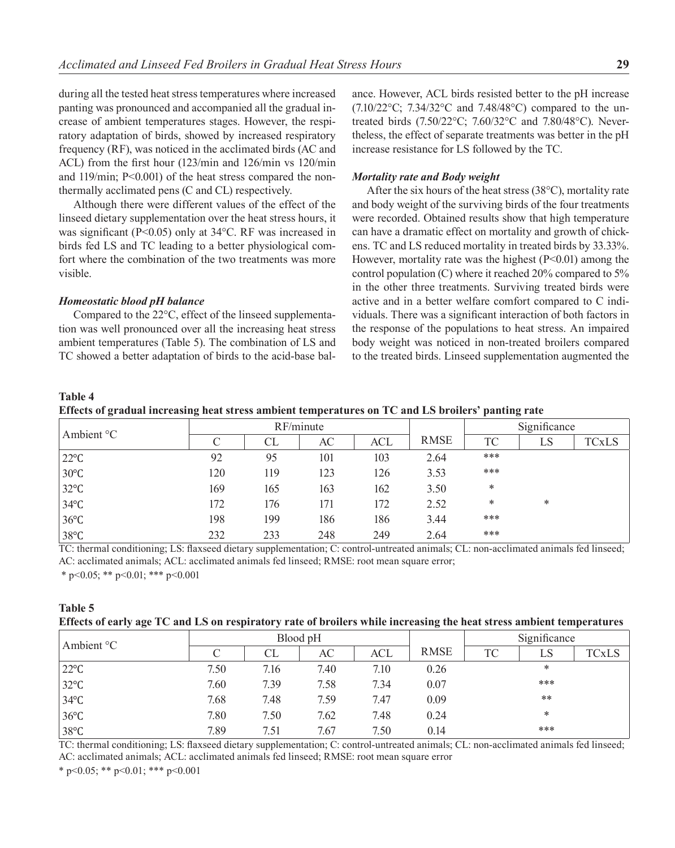during all the tested heat stress temperatures where increased panting was pronounced and accompanied all the gradual increase of ambient temperatures stages. However, the respiratory adaptation of birds, showed by increased respiratory frequency (RF), was noticed in the acclimated birds (AC and ACL) from the first hour (123/min and 126/min vs 120/min and 119/min; P<0.001) of the heat stress compared the nonthermally acclimated pens (C and CL) respectively.

Although there were different values of the effect of the linseed dietary supplementation over the heat stress hours, it was significant (P<0.05) only at 34°C. RF was increased in birds fed LS and TC leading to a better physiological comfort where the combination of the two treatments was more visible.

#### *Homeostatic blood pH balance*

Compared to the 22°C, effect of the linseed supplementation was well pronounced over all the increasing heat stress ambient temperatures (Table 5). The combination of LS and TC showed a better adaptation of birds to the acid-base balance. However, ACL birds resisted better to the pH increase (7.10/22°C; 7.34/32°C and 7.48/48°C) compared to the untreated birds (7.50/22°C; 7.60/32°C and 7.80/48°C). Nevertheless, the effect of separate treatments was better in the pH increase resistance for LS followed by the TC.

#### *Mortality rate and Body weight*

After the six hours of the heat stress (38°C), mortality rate and body weight of the surviving birds of the four treatments were recorded. Obtained results show that high temperature can have a dramatic effect on mortality and growth of chickens. TC and LS reduced mortality in treated birds by 33.33%. However, mortality rate was the highest  $(P<0.01)$  among the control population (C) where it reached 20% compared to 5% in the other three treatments. Surviving treated birds were active and in a better welfare comfort compared to C individuals. There was a significant interaction of both factors in the response of the populations to heat stress. An impaired body weight was noticed in non-treated broilers compared to the treated birds. Linseed supplementation augmented the

## **Table 4**

**Effects of gradual increasing heat stress ambient temperatures on TC and LS broilers' panting rate**

| Ambient °C     | RF/minute          |     |     |     |             | Significance |    |       |
|----------------|--------------------|-----|-----|-----|-------------|--------------|----|-------|
|                | $\curvearrowright$ | CL  | AC  | ACL | <b>RMSE</b> | TC           | LS | TCxLS |
| $22^{\circ}C$  | 92                 | 95  | 101 | 103 | 2.64        | ***          |    |       |
| $30^{\circ}$ C | 120                | 119 | 123 | 126 | 3.53        | ***          |    |       |
| $32^{\circ}$ C | 169                | 165 | 163 | 162 | 3.50        | *            |    |       |
| $34^{\circ}$ C | 172                | 176 | 171 | 172 | 2.52        | *            | *  |       |
| $36^{\circ}$ C | 198                | 199 | 186 | 186 | 3.44        | ***          |    |       |
| $38^{\circ}$ C | 232                | 233 | 248 | 249 | 2.64        | ***          |    |       |

TC: thermal conditioning; LS: flaxseed dietary supplementation; C: control-untreated animals; CL: non-acclimated animals fed linseed; AC: acclimated animals; ACL: acclimated animals fed linseed; RMSE: root mean square error;

\* p<0.05; \*\* p<0.01; \*\*\* p<0.001

| Table 5                                                                                                              |
|----------------------------------------------------------------------------------------------------------------------|
| Effects of early age TC and LS on respiratory rate of broilers while increasing the heat stress ambient temperatures |

| Ambient °C     | Blood pH |      |      |            |             | Significance |     |       |
|----------------|----------|------|------|------------|-------------|--------------|-----|-------|
|                |          | CL   | AC   | <b>ACL</b> | <b>RMSE</b> | TC           | LS  | TCxLS |
| $22^{\circ}C$  | 7.50     | 7.16 | 7.40 | 7.10       | 0.26        |              | ∗   |       |
| $32^{\circ}$ C | 7.60     | 7.39 | 7.58 | 7.34       | 0.07        |              | *** |       |
| $34^{\circ}$ C | 7.68     | 7.48 | 7.59 | 7.47       | 0.09        |              | **  |       |
| $36^{\circ}$ C | 7.80     | 7.50 | 7.62 | 7.48       | 0.24        |              | ∗   |       |
| $38^{\circ}$ C | 7.89     | 7.51 | 7.67 | 7.50       | 0.14        |              | *** |       |

TC: thermal conditioning; LS: flaxseed dietary supplementation; C: control-untreated animals; CL: non-acclimated animals fed linseed; AC: acclimated animals; ACL: acclimated animals fed linseed; RMSE: root mean square error

\* p<0.05; \*\* p<0.01; \*\*\* p<0.001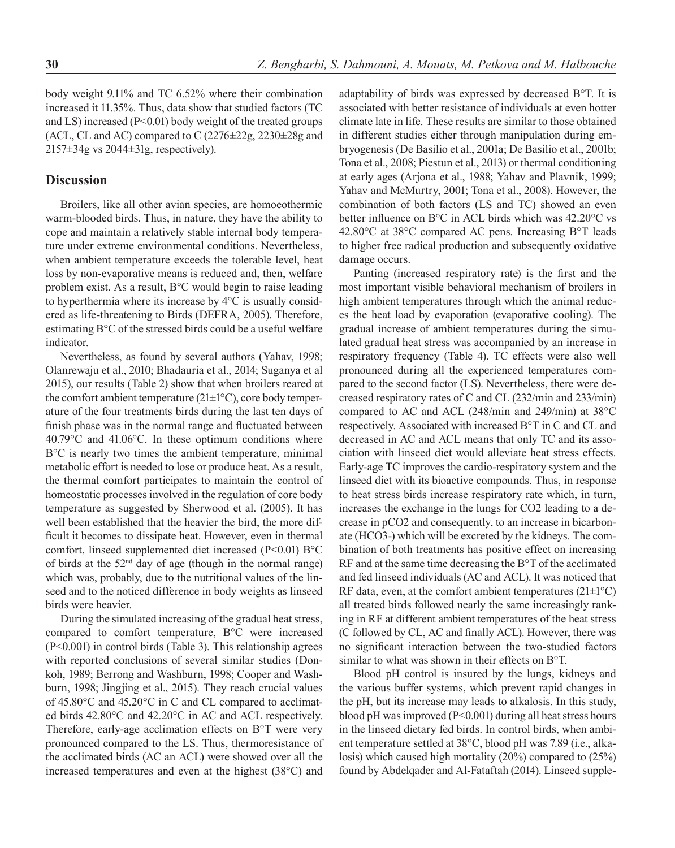body weight 9.11% and TC 6.52% where their combination increased it 11.35%. Thus, data show that studied factors (TC and LS) increased (P<0.01) body weight of the treated groups (ACL, CL and AC) compared to C  $(2276 \pm 22g, 2230 \pm 28g, 2240)$  $2157\pm34g$  vs  $2044\pm31g$ , respectively).

# **Discussion**

Broilers, like all other avian species, are homoeothermic warm-blooded birds. Thus, in nature, they have the ability to cope and maintain a relatively stable internal body temperature under extreme environmental conditions. Nevertheless, when ambient temperature exceeds the tolerable level, heat loss by non-evaporative means is reduced and, then, welfare problem exist. As a result, B°C would begin to raise leading to hyperthermia where its increase by 4°C is usually considered as life-threatening to Birds (DEFRA, 2005). Therefore, estimating B°C of the stressed birds could be a useful welfare indicator.

Nevertheless, as found by several authors (Yahav, 1998; Olanrewaju et al., 2010; Bhadauria et al., 2014; Suganya et al 2015), our results (Table 2) show that when broilers reared at the comfort ambient temperature (21±1°C), core body temperature of the four treatments birds during the last ten days of finish phase was in the normal range and fluctuated between 40.79°C and 41.06°C. In these optimum conditions where B°C is nearly two times the ambient temperature, minimal metabolic effort is needed to lose or produce heat. As a result, the thermal comfort participates to maintain the control of homeostatic processes involved in the regulation of core body temperature as suggested by Sherwood et al. (2005). It has well been established that the heavier the bird, the more difficult it becomes to dissipate heat. However, even in thermal comfort, linseed supplemented diet increased (P<0.01) B°C of birds at the  $52<sup>nd</sup>$  day of age (though in the normal range) which was, probably, due to the nutritional values of the linseed and to the noticed difference in body weights as linseed birds were heavier.

During the simulated increasing of the gradual heat stress, compared to comfort temperature, B°C were increased (P<0.001) in control birds (Table 3). This relationship agrees with reported conclusions of several similar studies (Donkoh, 1989; Berrong and Washburn, 1998; Cooper and Washburn, 1998; Jingjing et al., 2015). They reach crucial values of 45.80°C and 45.20°C in C and CL compared to acclimated birds 42.80°C and 42.20°C in AC and ACL respectively. Therefore, early-age acclimation effects on B°T were very pronounced compared to the LS. Thus, thermoresistance of the acclimated birds (AC an ACL) were showed over all the increased temperatures and even at the highest (38°C) and adaptability of birds was expressed by decreased B°T. It is associated with better resistance of individuals at even hotter climate late in life. These results are similar to those obtained in different studies either through manipulation during embryogenesis (De Basilio et al., 2001a; De Basilio et al., 2001b; Tona et al., 2008; Piestun et al., 2013) or thermal conditioning at early ages (Arjona et al., 1988; Yahav and Plavnik, 1999; Yahav and McMurtry, 2001; Tona et al., 2008). However, the combination of both factors (LS and TC) showed an even better influence on B°C in ACL birds which was 42.20°C vs 42.80°C at 38°C compared AC pens. Increasing B°T leads to higher free radical production and subsequently oxidative damage occurs.

Panting (increased respiratory rate) is the first and the most important visible behavioral mechanism of broilers in high ambient temperatures through which the animal reduces the heat load by evaporation (evaporative cooling). The gradual increase of ambient temperatures during the simulated gradual heat stress was accompanied by an increase in respiratory frequency (Table 4). TC effects were also well pronounced during all the experienced temperatures compared to the second factor (LS). Nevertheless, there were decreased respiratory rates of C and CL (232/min and 233/min) compared to AC and ACL (248/min and 249/min) at 38°C respectively. Associated with increased B°T in C and CL and decreased in AC and ACL means that only TC and its association with linseed diet would alleviate heat stress effects. Early-age TC improves the cardio-respiratory system and the linseed diet with its bioactive compounds. Thus, in response to heat stress birds increase respiratory rate which, in turn, increases the exchange in the lungs for CO2 leading to a decrease in pCO2 and consequently, to an increase in bicarbonate (HCO3-) which will be excreted by the kidneys. The combination of both treatments has positive effect on increasing RF and at the same time decreasing the B°T of the acclimated and fed linseed individuals (AC and ACL). It was noticed that RF data, even, at the comfort ambient temperatures  $(21 \pm 1^{\circ}C)$ all treated birds followed nearly the same increasingly ranking in RF at different ambient temperatures of the heat stress (C followed by CL, AC and finally ACL). However, there was no significant interaction between the two-studied factors similar to what was shown in their effects on B°T.

Blood pH control is insured by the lungs, kidneys and the various buffer systems, which prevent rapid changes in the pH, but its increase may leads to alkalosis. In this study, blood pH was improved (P<0.001) during all heat stress hours in the linseed dietary fed birds. In control birds, when ambient temperature settled at 38°C, blood pH was 7.89 (i.e., alkalosis) which caused high mortality (20%) compared to (25%) found by Abdelqader and Al-Fataftah (2014). Linseed supple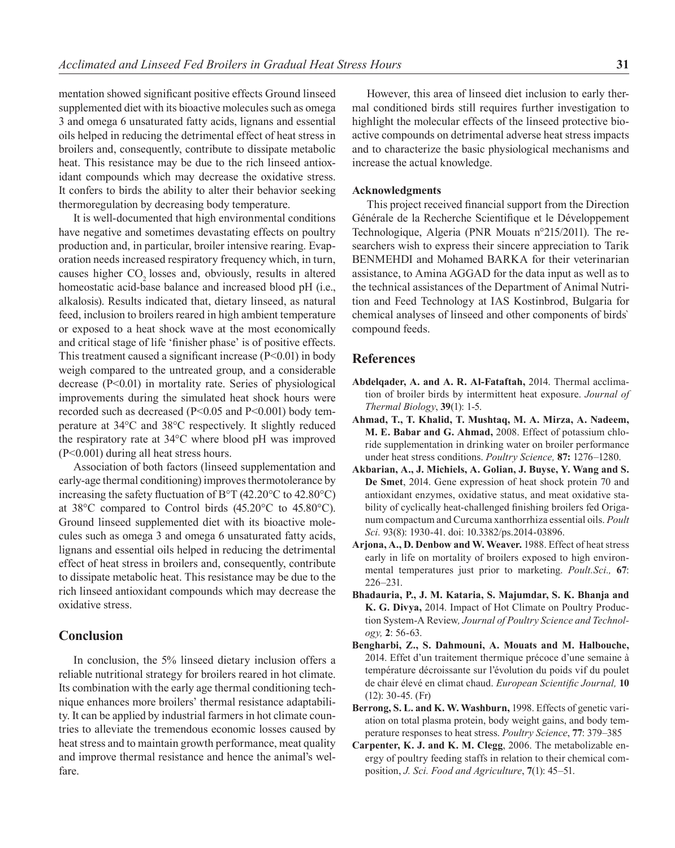mentation showed significant positive effects Ground linseed supplemented diet with its bioactive molecules such as omega 3 and omega 6 unsaturated fatty acids, lignans and essential oils helped in reducing the detrimental effect of heat stress in broilers and, consequently, contribute to dissipate metabolic heat. This resistance may be due to the rich linseed antioxidant compounds which may decrease the oxidative stress. It confers to birds the ability to alter their behavior seeking thermoregulation by decreasing body temperature.

It is well-documented that high environmental conditions have negative and sometimes devastating effects on poultry production and, in particular, broiler intensive rearing. Evaporation needs increased respiratory frequency which, in turn, causes higher CO<sub>2</sub> losses and, obviously, results in altered homeostatic acid-base balance and increased blood pH (i.e., alkalosis). Results indicated that, dietary linseed, as natural feed, inclusion to broilers reared in high ambient temperature or exposed to a heat shock wave at the most economically and critical stage of life 'finisher phase' is of positive effects. This treatment caused a significant increase (P<0.01) in body weigh compared to the untreated group, and a considerable decrease (P<0.01) in mortality rate. Series of physiological improvements during the simulated heat shock hours were recorded such as decreased (P<0.05 and P<0.001) body temperature at 34°C and 38°C respectively. It slightly reduced the respiratory rate at 34°C where blood pH was improved (P<0.001) during all heat stress hours.

Association of both factors (linseed supplementation and early-age thermal conditioning) improves thermotolerance by increasing the safety fluctuation of B°T (42.20°C to 42.80°C) at 38°C compared to Control birds (45.20°C to 45.80°C). Ground linseed supplemented diet with its bioactive molecules such as omega 3 and omega 6 unsaturated fatty acids, lignans and essential oils helped in reducing the detrimental effect of heat stress in broilers and, consequently, contribute to dissipate metabolic heat. This resistance may be due to the rich linseed antioxidant compounds which may decrease the oxidative stress.

# **Conclusion**

In conclusion, the 5% linseed dietary inclusion offers a reliable nutritional strategy for broilers reared in hot climate. Its combination with the early age thermal conditioning technique enhances more broilers' thermal resistance adaptability. It can be applied by industrial farmers in hot climate countries to alleviate the tremendous economic losses caused by heat stress and to maintain growth performance, meat quality and improve thermal resistance and hence the animal's welfare.

However, this area of linseed diet inclusion to early thermal conditioned birds still requires further investigation to highlight the molecular effects of the linseed protective bioactive compounds on detrimental adverse heat stress impacts and to characterize the basic physiological mechanisms and increase the actual knowledge.

## **Acknowledgments**

This project received financial support from the Direction Générale de la Recherche Scientifique et le Développement Technologique, Algeria (PNR Mouats n°215/2011). The researchers wish to express their sincere appreciation to Tarik BENMEHDI and Mohamed BARKA for their veterinarian assistance, to Amina AGGAD for the data input as well as to the technical assistances of the Department of Animal Nutrition and Feed Technology at IAS Kostinbrod, Bulgaria for chemical analyses of linseed and other components of birds` compound feeds.

## **References**

- **Abdelqader, A. and A. R. Al-Fataftah,** 2014. Thermal acclimation of broiler birds by intermittent heat exposure. *Journal of Thermal Biology*, **39**(1): 1-5.
- **Ahmad, T., T. Khalid, T. Mushtaq, M. A. Mirza, A. Nadeem, M. E. Babar and G. Ahmad,** 2008. Effect of potassium chloride supplementation in drinking water on broiler performance under heat stress conditions. *Poultry Science,* **87:** 1276–1280.
- **Akbarian, A., J. Michiels, A. Golian, J. Buyse, Y. Wang and S. De Smet**, 2014. Gene expression of heat shock protein 70 and antioxidant enzymes, oxidative status, and meat oxidative stability of cyclically heat-challenged finishing broilers fed Origanum compactum and Curcuma xanthorrhiza essential oils. *Poult Sci.* 93(8): 1930-41. doi: 10.3382/ps.2014-03896.
- **Arjona, A., D. Denbow and W. Weaver.** 1988. Effect of heat stress early in life on mortality of broilers exposed to high environmental temperatures just prior to marketing. *Poult.Sci.,* **67**: 226–231.
- **Bhadauria, P., J. M. Kataria, S. Majumdar, S. K. Bhanja and K. G. Divya,** 2014. Impact of Hot Climate on Poultry Production System-A Review*, Journal of Poultry Science and Technology,* **2**: 56-63.
- **Bengharbi, Z., S. Dahmouni, A. Mouats and M. Halbouche,** 2014. Effet d'un traitement thermique précoce d'une semaine à température décroissante sur l'évolution du poids vif du poulet de chair élevé en climat chaud. *European Scientific Journal,* **10** (12): 30-45. (Fr)
- **Berrong, S. L. and K. W. Washburn,** 1998. Effects of genetic variation on total plasma protein, body weight gains, and body temperature responses to heat stress. *Poultry Science*, **77**: 379–385
- **Carpenter, K. J. and K. M. Clegg**, 2006. The metabolizable energy of poultry feeding staffs in relation to their chemical composition, *J. Sci. Food and Agriculture*, **7**(1): 45–51.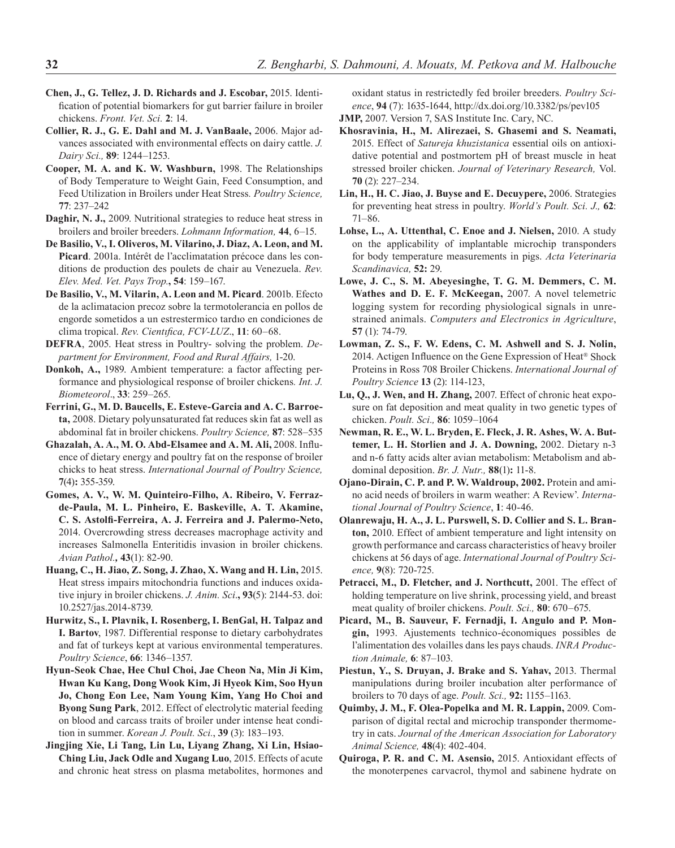- **Chen, J., G. Tellez, J. D. Richards and J. Escobar,** 2015. Identification of potential biomarkers for gut barrier failure in broiler chickens. *Front. Vet. Sci.* **2**: 14.
- **Collier, R. J., G. E. Dahl and M. J. VanBaale,** 2006. Major advances associated with environmental effects on dairy cattle. *J. Dairy Sci.,* **89**: 1244–1253.
- **Cooper, M. A. and K. W. Washburn,** 1998. The Relationships of Body Temperature to Weight Gain, Feed Consumption, and Feed Utilization in Broilers under Heat Stress*. Poultry Science,*  **77**: 237–242
- **Daghir, N. J.,** 2009. Nutritional strategies to reduce heat stress in broilers and broiler breeders. *Lohmann Information,* **44**, 6–15.
- **De Basilio, V., I. Oliveros, M. Vilarino, J. Diaz, A. Leon, and M. Picard**. 2001a. Intérêt de l'acclimatation précoce dans les conditions de production des poulets de chair au Venezuela. *Rev. Elev. Med. Vet. Pays Trop.***, 54**: 159–167.
- **De Basilio, V., M. Vilarin, A. Leon and M. Picard**. 2001b. Efecto de la aclimatacion precoz sobre la termotolerancia en pollos de engorde sometidos a un estrestermico tardıo en condiciones de clima tropical. *Rev. Cientıfica, FCV-LUZ*., **11**: 60–68.
- **DEFRA**, 2005. Heat stress in Poultry- solving the problem. *Department for Environment, Food and Rural Affairs,* 1-20.
- **Donkoh, A.,** 1989. Ambient temperature: a factor affecting performance and physiological response of broiler chickens*. Int. J. Biometeorol*., **33**: 259–265.
- **Ferrini, G., M. D. Baucells, E. Esteve-Garcia and A. C. Barroeta,** 2008. Dietary polyunsaturated fat reduces skin fat as well as abdominal fat in broiler chickens. *Poultry Science,* **87**: 528–535
- **Ghazalah, A. A., M. O. Abd-Elsamee and A. M. Ali,** 2008. Influence of dietary energy and poultry fat on the response of broiler chicks to heat stress. *International Journal of Poultry Science,* **7**(4)**:** 355-359.
- **Gomes, A. V., W. M. Quinteiro-Filho, A. Ribeiro, V. Ferrazde-Paula, M. L. Pinheiro, E. Baskeville, A. T. Akamine, C. S. Astolfi-Ferreira, A. J. Ferreira and J. Palermo-Neto,**  2014. Overcrowding stress decreases macrophage activity and increases Salmonella Enteritidis invasion in broiler chickens. *Avian Pathol.,* **43**(1): 82-90.
- **Huang, C., H. Jiao, Z. Song, J. Zhao, X. Wang and H. Lin,** 2015. Heat stress impairs mitochondria functions and induces oxidative injury in broiler chickens. *J. Anim. Sci*.**, 93**(5): 2144-53. doi: 10.2527/jas.2014-8739.
- **Hurwitz, S., I. Plavnik, I. Rosenberg, I. BenGal, H. Talpaz and I. Bartov**, 1987. Differential response to dietary carbohydrates and fat of turkeys kept at various environmental temperatures. *Poultry Science*, **66**: 1346–1357.
- **Hyun-Seok Chae, Hee Chul Choi, Jae Cheon Na, Min Ji Kim, Hwan Ku Kang, Dong Wook Kim, Ji Hyeok Kim, Soo Hyun Jo, Chong Eon Lee, Nam Young Kim, Yang Ho Choi and Byong Sung Park**, 2012. Effect of electrolytic material feeding on blood and carcass traits of broiler under intense heat condition in summer. *Korean J. Poult. Sci.*, **39** (3): 183–193.
- **Jingjing Xie, Li Tang, Lin Lu, Liyang Zhang, Xi Lin, Hsiao-Ching Liu, Jack Odle and Xugang Luo**, 2015. Effects of acute and chronic heat stress on plasma metabolites, hormones and

oxidant status in restrictedly fed broiler breeders. *Poultry Science*, **94** (7): 1635-1644, http://dx.doi.org/10.3382/ps/pev105 **JMP,** 2007. Version 7, SAS Institute Inc. Cary, NC.

- **Khosravinia, H., M. Alirezaei, S. Ghasemi and S. Neamati,**  2015. Effect of *Satureja khuzistanica* essential oils on antioxidative potential and postmortem pH of breast muscle in heat stressed broiler chicken. *Journal of Veterinary Research,* Vol. **70** (2): 227–234.
- **Lin, H., H. C. Jiao, J. Buyse and E. Decuypere,** 2006. Strategies for preventing heat stress in poultry. *World's Poult. Sci. J.,* **62**: 71–86.
- **Lohse, L., A. Uttenthal, C. Enoe and J. Nielsen,** 2010. A study on the applicability of implantable microchip transponders for body temperature measurements in pigs. *Acta Veterinaria Scandinavica,* **52:** 29.
- **Lowe, J. C., S. M. Abeyesinghe, T. G. M. Demmers, C. M. Wathes and D. E. F. McKeegan,** 2007. A novel telemetric logging system for recording physiological signals in unrestrained animals. *Computers and Electronics in Agriculture*, **57** (1): 74-79.
- **Lowman, Z. S., F. W. Edens, C. M. Ashwell and S. J. Nolin,**  2014. Actigen Influence on the Gene Expression of Heat® Shock Proteins in Ross 708 Broiler Chickens. *International Journal of Poultry Science* **13** (2): 114-123,
- **Lu, Q., J. Wen, and H. Zhang,** 2007. Effect of chronic heat exposure on fat deposition and meat quality in two genetic types of chicken. *Poult. Sci.,* **86**: 1059–1064
- **Newman, R. E., W. L. Bryden, E. Fleck, J. R. Ashes, W. A. Buttemer, L. H. Storlien and J. A. Downing,** 2002. Dietary n-3 and n-6 fatty acids alter avian metabolism: Metabolism and abdominal deposition. *Br. J. Nutr.,* **88**(1)**:** 11-8.
- **Ojano-Dirain, C. P. and P. W. Waldroup, 2002.** Protein and amino acid needs of broilers in warm weather: A Review'. *International Journal of Poultry Science*, **1**: 40-46.
- **Olanrewaju, H. A., J. L. Purswell, S. D. Collier and S. L. Branton,** 2010. Effect of ambient temperature and light intensity on growth performance and carcass characteristics of heavy broiler chickens at 56 days of age. *International Journal of Poultry Science,* **9**(8): 720-725.
- **Petracci, M., D. Fletcher, and J. Northcutt,** 2001. The effect of holding temperature on live shrink, processing yield, and breast meat quality of broiler chickens. *Poult. Sci.,* **80**: 670–675.
- **Picard, M., B. Sauveur, F. Fernadji, I. Angulo and P. Mongin,** 1993. Ajustements technico-économiques possibles de l'alimentation des volailles dans les pays chauds. *INRA Production Animale,* **6**: 87–103.
- **Piestun, Y., S. Druyan, J. Brake and S. Yahav,** 2013. Thermal manipulations during broiler incubation alter performance of broilers to 70 days of age. *Poult. Sci.,* **92:** 1155–1163.
- **Quimby, J. M., F. Olea-Popelka and M. R. Lappin,** 2009. Comparison of digital rectal and microchip transponder thermometry in cats. *Journal of the American Association for Laboratory Animal Science,* **48**(4): 402-404.
- **Quiroga, P. R. and C. M. Asensio,** 2015. Antioxidant effects of the monoterpenes carvacrol, thymol and sabinene hydrate on